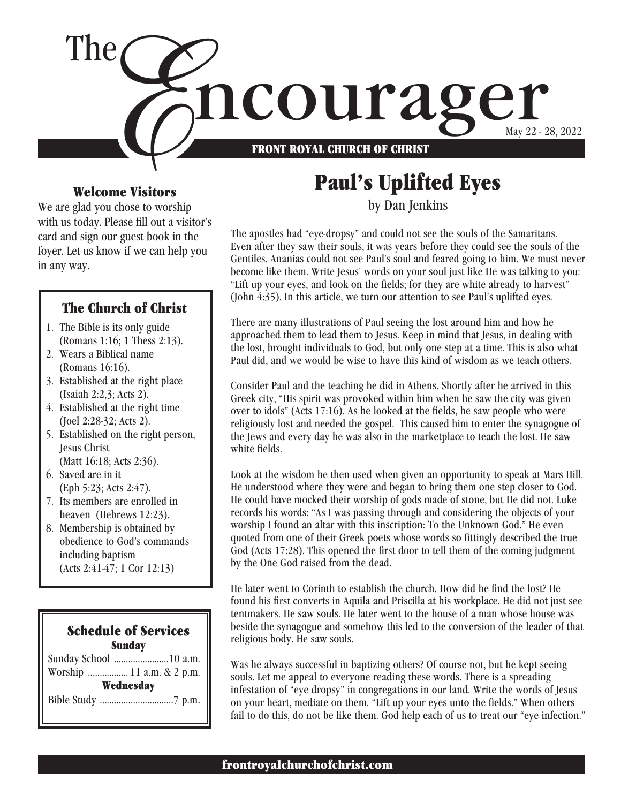

#### Welcome Visitors

We are glad you chose to worship with us today. Please fill out a visitor's card and sign our guest book in the foyer. Let us know if we can help you in any way.

#### The Church of Christ

- 1. The Bible is its only guide (Romans 1:16; 1 Thess 2:13).
- 2. Wears a Biblical name (Romans 16:16).
- 3. Established at the right place (Isaiah 2:2,3; Acts 2).
- 4. Established at the right time (Joel 2:28-32; Acts 2).
- 5. Established on the right person, Jesus Christ (Matt 16:18; Acts 2:36).
- 6. Saved are in it (Eph 5:23; Acts 2:47).
- 7. Its members are enrolled in heaven (Hebrews 12:23).
- 8. Membership is obtained by obedience to God's commands including baptism (Acts 2:41-47; 1 Cor 12:13)

#### Schedule of Services Sunday Sunday School .......................10 a.m. Worship ................. 11 a.m. & 2 p.m.

**Wednesday** 

Bible Study ...............................7 p.m.

## Paul's Uplifted Eyes

by Dan Jenkins

The apostles had "eye-dropsy" and could not see the souls of the Samaritans. Even after they saw their souls, it was years before they could see the souls of the Gentiles. Ananias could not see Paul's soul and feared going to him. We must never become like them. Write Jesus' words on your soul just like He was talking to you: "Lift up your eyes, and look on the fields; for they are white already to harvest" (John 4:35). In this article, we turn our attention to see Paul's uplifted eyes.

There are many illustrations of Paul seeing the lost around him and how he approached them to lead them to Jesus. Keep in mind that Jesus, in dealing with the lost, brought individuals to God, but only one step at a time. This is also what Paul did, and we would be wise to have this kind of wisdom as we teach others.

Consider Paul and the teaching he did in Athens. Shortly after he arrived in this Greek city, "His spirit was provoked within him when he saw the city was given over to idols" (Acts 17:16). As he looked at the fields, he saw people who were religiously lost and needed the gospel. This caused him to enter the synagogue of the Jews and every day he was also in the marketplace to teach the lost. He saw white fields.

Look at the wisdom he then used when given an opportunity to speak at Mars Hill. He understood where they were and began to bring them one step closer to God. He could have mocked their worship of gods made of stone, but He did not. Luke records his words: "As I was passing through and considering the objects of your worship I found an altar with this inscription: To the Unknown God." He even quoted from one of their Greek poets whose words so fittingly described the true God (Acts 17:28). This opened the first door to tell them of the coming judgment by the One God raised from the dead.

He later went to Corinth to establish the church. How did he find the lost? He found his first converts in Aquila and Priscilla at his workplace. He did not just see tentmakers. He saw souls. He later went to the house of a man whose house was beside the synagogue and somehow this led to the conversion of the leader of that religious body. He saw souls.

Was he always successful in baptizing others? Of course not, but he kept seeing souls. Let me appeal to everyone reading these words. There is a spreading infestation of "eye dropsy" in congregations in our land. Write the words of Jesus on your heart, mediate on them. "Lift up your eyes unto the fields." When others fail to do this, do not be like them. God help each of us to treat our "eye infection."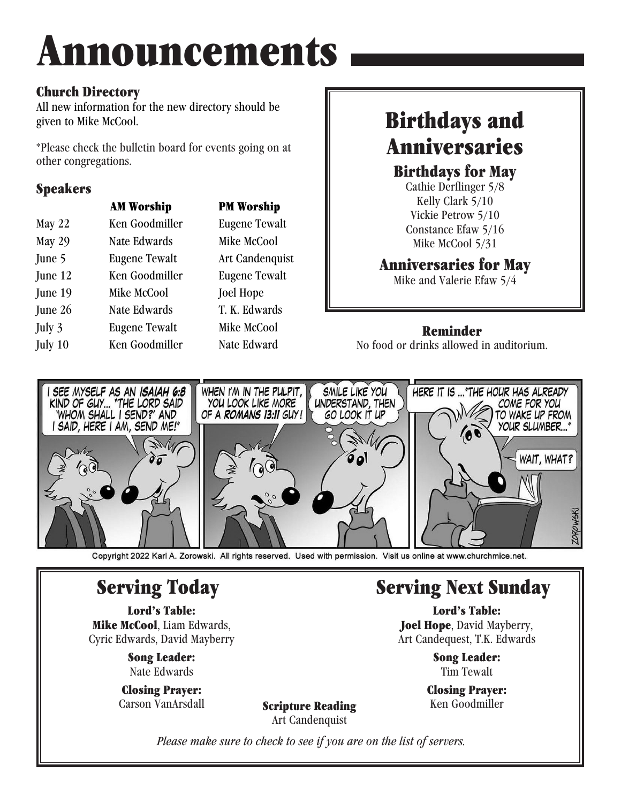# Announcements

## Church Directory

All new information for the new directory should be given to Mike McCool.

\*Please check the bulletin board for events going on at other congregations.

## Speakers

|           | <b>AM Worship</b>    | <b>PM Worship</b>    |
|-----------|----------------------|----------------------|
| May $22$  | Ken Goodmiller       | <b>Eugene Tewalt</b> |
| May 29    | Nate Edwards         | Mike McCool          |
| June 5    | <b>Eugene Tewalt</b> | Art Candenquist      |
| June 12   | Ken Goodmiller       | <b>Eugene Tewalt</b> |
| June 19   | Mike McCool          | <b>Joel Hope</b>     |
| June $26$ | Nate Edwards         | T. K. Edwards        |
| July 3    | <b>Eugene Tewalt</b> | Mike McCool          |
| July 10   | Ken Goodmiller       | Nate Edward          |
|           |                      |                      |

## Birthdays and Anniversaries

Birthdays for May

Cathie Derflinger 5/8 Kelly Clark 5/10 Vickie Petrow 5/10 Constance Efaw 5/16 Mike McCool 5/31

## Anniversaries for May

Mike and Valerie Efaw 5/4

#### Reminder

No food or drinks allowed in auditorium.



Copyright 2022 Karl A. Zorowski. All rights reserved. Used with permission. Visit us online at www.churchmice.net.

# Serving Today

Lord's Table: Mike McCool, Liam Edwards, Cyric Edwards, David Mayberry

> Song Leader: Nate Edwards

Closing Prayer: Carson VanArsdall

## Serving Next Sunday

Lord's Table: **Joel Hope**, David Mayberry, Art Candequest, T.K. Edwards

> Song Leader: Tim Tewalt

Closing Prayer: Ken Goodmiller

Scripture Reading Art Candenquist

*Please make sure to check to see if you are on the list of servers.*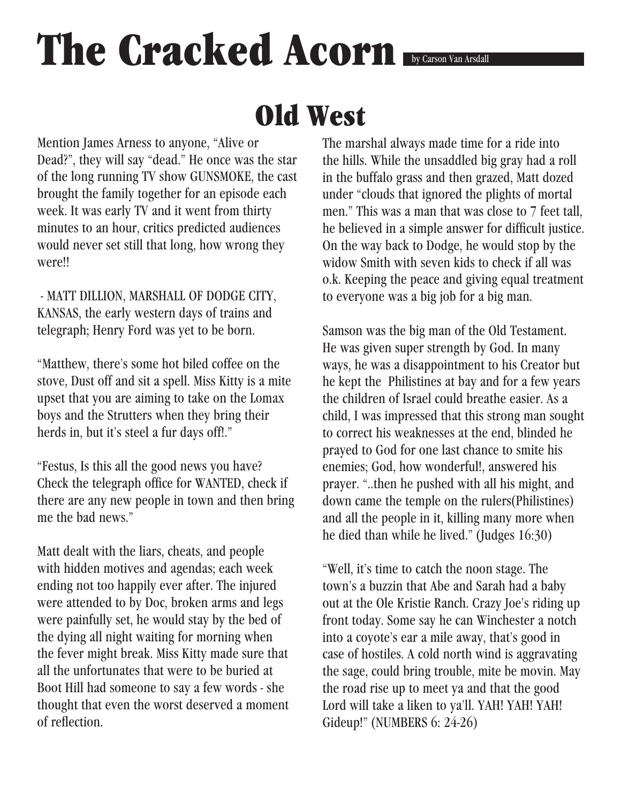# The Cracked Acorn **by Carson Van Arsdall**

# Old West

Mention James Arness to anyone, "Alive or Dead?", they will say "dead." He once was the star of the long running TV show GUNSMOKE, the cast brought the family together for an episode each week. It was early TV and it went from thirty minutes to an hour, critics predicted audiences would never set still that long, how wrong they were!!

 - MATT DILLION, MARSHALL OF DODGE CITY, KANSAS, the early western days of trains and telegraph; Henry Ford was yet to be born.

"Matthew, there's some hot biled coffee on the stove, Dust off and sit a spell. Miss Kitty is a mite upset that you are aiming to take on the Lomax boys and the Strutters when they bring their herds in, but it's steel a fur days off!."

"Festus, Is this all the good news you have? Check the telegraph office for WANTED, check if there are any new people in town and then bring me the bad news."

Matt dealt with the liars, cheats, and people with hidden motives and agendas; each week ending not too happily ever after. The injured were attended to by Doc, broken arms and legs were painfully set, he would stay by the bed of the dying all night waiting for morning when the fever might break. Miss Kitty made sure that all the unfortunates that were to be buried at Boot Hill had someone to say a few words - she thought that even the worst deserved a moment of reflection.

The marshal always made time for a ride into the hills. While the unsaddled big gray had a roll in the buffalo grass and then grazed, Matt dozed under "clouds that ignored the plights of mortal men." This was a man that was close to 7 feet tall, he believed in a simple answer for difficult justice. On the way back to Dodge, he would stop by the widow Smith with seven kids to check if all was o.k. Keeping the peace and giving equal treatment to everyone was a big job for a big man.

Samson was the big man of the Old Testament. He was given super strength by God. In many ways, he was a disappointment to his Creator but he kept the Philistines at bay and for a few years the children of Israel could breathe easier. As a child, I was impressed that this strong man sought to correct his weaknesses at the end, blinded he prayed to God for one last chance to smite his enemies; God, how wonderful!, answered his prayer. "..then he pushed with all his might, and down came the temple on the rulers(Philistines) and all the people in it, killing many more when he died than while he lived." (Judges 16:30)

"Well, it's time to catch the noon stage. The town's a buzzin that Abe and Sarah had a baby out at the Ole Kristie Ranch. Crazy Joe's riding up front today. Some say he can Winchester a notch into a coyote's ear a mile away, that's good in case of hostiles. A cold north wind is aggravating the sage, could bring trouble, mite be movin. May the road rise up to meet ya and that the good Lord will take a liken to ya'll. YAH! YAH! YAH! Gideup!" (NUMBERS 6: 24-26)